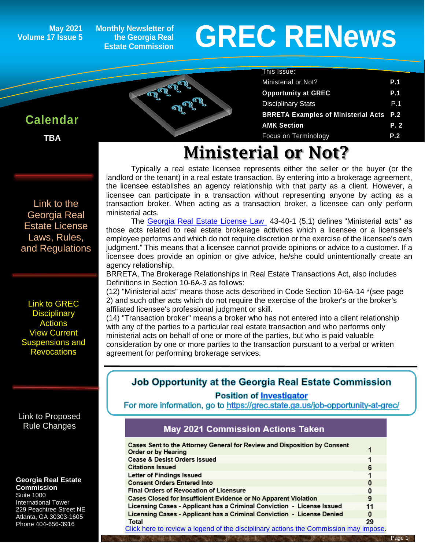#### **May 2021 Volume 17 Issue 5**

**Monthly Newsletter of the Georgia Real Estate Commission**

nn

 $\overline{a}$ 

# **GREC RENewsGREC RENews**

Ministerial or Not? **P.1 Opportunity at GREC** P.1 Disciplinary Stats **P.1 BRRETA Examples of Ministerial Acts P.2** AMK Section P. 2 Focus on Terminology **P.2**

This Issue:

## **Calendar**

ĺ

**TBA**

[Link to the](https://grec.state.ga.us/information-research/license-law/)  [Georgia Real](https://grec.state.ga.us/information-research/license-law/)  [Estate License](https://grec.state.ga.us/information-research/license-law/)  [Laws, Rules,](https://grec.state.ga.us/information-research/license-law/)  [and Regulations](https://grec.state.ga.us/information-research/license-law/)

[Link to GREC](http://www.grec.state.ga.us/about/resanctions.html)  **Disciplinary [Actions](http://www.grec.state.ga.us/about/resanctions.html)** View Current [Suspensions and](https://grec.state.ga.us/information-research/disciplinary-actions/real-estate/)  **Revocations** 

[Link to Proposed](https://grec.state.ga.us/information-research/disciplinary-actions/real-estate/)  [Rule Changes](https://grec.state.ga.us/information-research/legislation/real-estate/)

#### **Georgia Real Estate Commission**

Suite 1000 International Tower 229 Peachtree Street NE Atlanta, GA 30303-1605 Phone 404-656-3916

# Ministerial or Not?

Typically a real estate licensee represents either the seller or the buyer (or the landlord or the tenant) in a real estate transaction. By entering into a brokerage agreement, the licensee establishes an agency relationship with that party as a client. However, a licensee can participate in a transaction without representing anyone by acting as a transaction broker. When acting as a transaction broker, a licensee can only perform ministerial acts.

The [Georgia Real Estate License Law](https://grec.state.ga.us/information-research/license-law/) 43-40-1 (5.1) defines "Ministerial acts" as those acts related to real estate brokerage activities which a licensee or a licensee's employee performs and which do not require discretion or the exercise of the licensee's own judgment." This means that a licensee cannot provide opinions or advice to a customer. If a licensee does provide an opinion or give advice, he/she could unintentionally create an agency relationship.

BRRETA, The Brokerage Relationships in Real Estate Transactions Act, also includes Definitions in Section 10-6A-3 as follows:

(12) "Ministerial acts" means those acts described in Code Section 10-6A-14 \*(see page 2) and such other acts which do not require the exercise of the broker's or the broker's affiliated licensee's professional judgment or skill.

(14) "Transaction broker" means a broker who has not entered into a client relationship with any of the parties to a particular real estate transaction and who performs only ministerial acts on behalf of one or more of the parties, but who is paid valuable consideration by one or more parties to the transaction pursuant to a verbal or written agreement for performing brokerage services.

## Job Opportunity at the Georgia Real Estate Commission

#### **Position of Investigator**

For more information, go to https://grec.state.ga.us/job-opportunity-at-grec/

## **May 2021 Commission Actions Taken**

| Cases Sent to the Attorney General for Review and Disposition by Consent<br>Order or by Hearing |          |
|-------------------------------------------------------------------------------------------------|----------|
| <b>Cease &amp; Desist Orders Issued</b>                                                         |          |
| <b>Citations Issued</b>                                                                         | 6        |
| Letter of Findings Issued                                                                       |          |
| <b>Consent Orders Entered Into</b>                                                              | 0        |
| <b>Final Orders of Revocation of Licensure</b>                                                  | 0        |
| Cases Closed for Insufficient Evidence or No Apparent Violation                                 | 9        |
| Licensing Cases - Applicant has a Criminal Conviction - License Issued                          | 11       |
| Licensing Cases - Applicant has a Criminal Conviction - License Denied                          | $\bf{0}$ |
| Total                                                                                           | 29       |
| Click here to review a legend of the disciplinary actions the Commission may impose.            |          |

#### Page 1